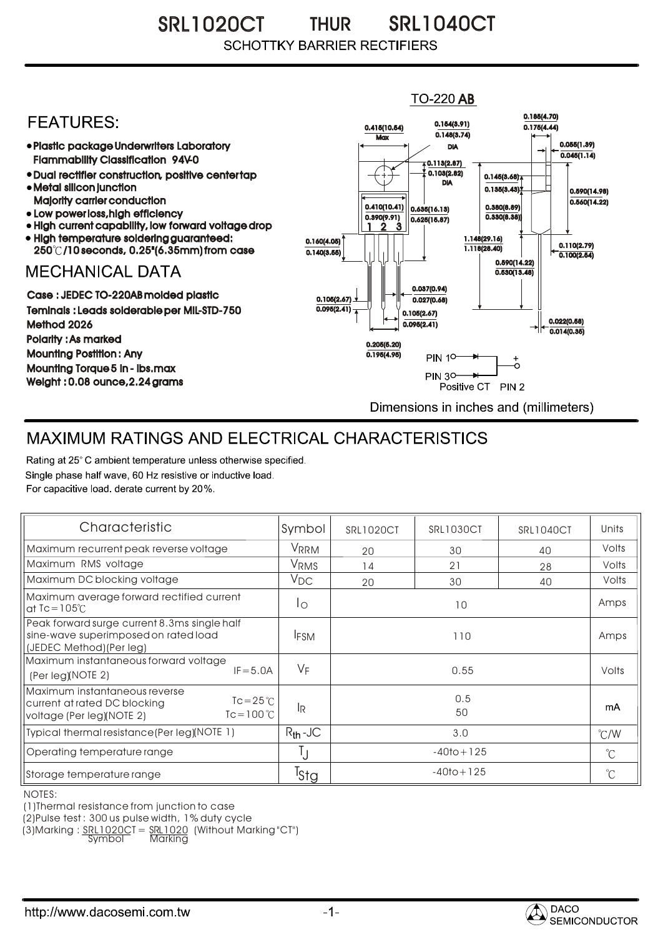SRL1020CT THUR SRL1040CT THUR**SCHOTTKY BARRIER RECTIFIERS** 

## **TO-220 AB** 0.185(4.70) **FFATURFS:** 0.154(3.91) 0.415(10.54) 0.175(4.44)  $0.148(3.74)$ **Max** Plastic package Underwriters Laboratory 0.055(1.39) DIA  $0.045(1.14)$ Flammability Classification 94V-0  $\overline{4}$  0.113(2.87) 0.103(2.82) Dual rectifier construction, positive center tap 0.145(3.68) DIA Metal silicon junction  $0.135(3.43)$ 0.590(14.98) Majority carrier conduction  $0.560(14.22)$ 0.410(10.41) 0.380(8.89) 0.635(16.13) • Low power loss, high efficiency 0.330(8.38)) 0.390(9.91)  $0.625(15.87)$ High current capability, low forward voltage drop 1 3 2 • High temperature soldering guaranteed: 1.148(29.16) 0.160(4.05) 0.110(2.79) 250 /10 seconds, 0.25"(6.35mm) from case 1.118(28.40) 0.140(3.55)  $\overline{0.100(2.54)}$ 0.590(14.22) **MECHANICAL DATA**  $0.530(13.48)$ 0.037(0.94) Case : JEDEC TO-220AB molded plastic 0.105(2.67)  $0.027(0.68)$ Teminals : Leads solderable per MIL-STD-750  $0.095(2.41)$ 0.105(2.67) 0.022(0.58) Method 2026  $0.095(2.41)$  $0.014(0.35)$ Polarity : As marked 0.205(5.20) Mounting Postition : Any 0.195(4.95)  $\ddot{\circ}$ **PIN 10-**Mounting Torque 5 in - lbs.max **PIN 30-**Weight : 0.08 ounce,2.24 grams Positive CT PIN 2 Dimensions in inches and (millimeters)

## MAXIMUM RATINGS AND ELECTRICAL CHARACTERISTICS

Rating at 25° C ambient temperature unless otherwise specified. Single phase half wave, 60 Hz resistive or inductive load. For capacitive load, derate current by 20%.

| Characteristic                                                                                                                    | Symbol       | <b>SRL1020CT</b> | SRL1030CT | SRL1040CT     | Units       |
|-----------------------------------------------------------------------------------------------------------------------------------|--------------|------------------|-----------|---------------|-------------|
| Maximum recurrent peak reverse voltage                                                                                            | VRRM         | 20               | 30        | 40            | Volts       |
| Maximum RMS voltage                                                                                                               | VRMS         | 14               | 21        | 28            | Volts       |
| Maximum DC blocking voltage                                                                                                       | $V_{DC}$     | 20               | 30        | 40            | Volts       |
| Maximum average forward rectified current<br>at $Tc = 105^\circ C$                                                                | Ιo           | 10               |           |               | Amps        |
| Peak forward surge current 8.3ms single half<br>sine-wave superimposed on rated load<br>(JEDEC Method) (Per leg)                  | <b>IFSM</b>  | 110              |           |               | Amps        |
| Maximum instantaneous forward voltage<br>$IF = 5.0A$<br>(Per leg)(NOTE 2)                                                         | $V_F$        | 0.55             |           |               | Volts       |
| Maximum instantaneous reverse<br>$Tc = 25^{\circ}C$<br>current at rated DC blocking<br>$Tc = 100 °C$<br>voltage (Per leg)(NOTE 2) | lR.          | 0.5<br>50        |           |               | mA          |
| Typical thermal resistance (Per leg) (NOTE 1)                                                                                     | $R_{th}$ -JC | 3.0              |           | $\degree$ C/W |             |
| Operating temperature range                                                                                                       | IJ           | $-40$ to + 125   |           |               | $^{\circ}C$ |
| Storage temperature range                                                                                                         | Tstg         | $-40$ to + 125   |           |               | $^{\circ}C$ |

NOTES:

(1)Thermal resistance from junction to case

(2)Pulse test : 300 us pulse width, 1% duty cycle

(3)Marking : <u>SRL1020C</u>T = <u>SRL1020</u> (Without Marking"CT") R

Symbol Marking